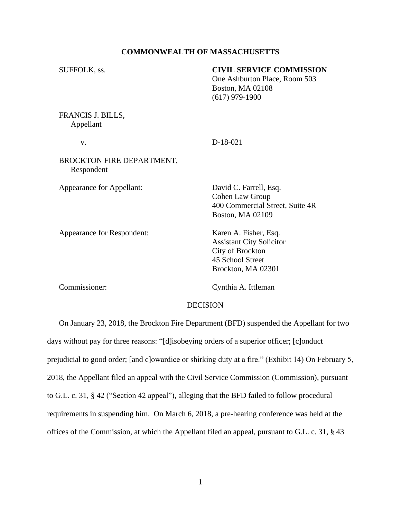### **COMMONWEALTH OF MASSACHUSETTS**

| SUFFOLK, ss.                            | <b>CIVIL SERVICE COMMISSION</b><br>One Ashburton Place, Room 503<br><b>Boston, MA 02108</b><br>$(617)$ 979-1900 |
|-----------------------------------------|-----------------------------------------------------------------------------------------------------------------|
| FRANCIS J. BILLS,<br>Appellant          |                                                                                                                 |
| V.                                      | $D-18-021$                                                                                                      |
| BROCKTON FIRE DEPARTMENT,<br>Respondent |                                                                                                                 |
| Appearance for Appellant:               | David C. Farrell, Esq.                                                                                          |

Appearance for Respondent: Karen A. Fisher, Esq.

Cohen Law Group 400 Commercial Street, Suite 4R Boston, MA 02109

Assistant City Solicitor City of Brockton 45 School Street Brockton, MA 02301

Commissioner: Cynthia A. Ittleman

#### **DECISION**

 On January 23, 2018, the Brockton Fire Department (BFD) suspended the Appellant for two days without pay for three reasons: "[d]isobeying orders of a superior officer; [c]onduct prejudicial to good order; [and c]owardice or shirking duty at a fire." (Exhibit 14) On February 5, 2018, the Appellant filed an appeal with the Civil Service Commission (Commission), pursuant to G.L. c. 31, § 42 ("Section 42 appeal"), alleging that the BFD failed to follow procedural requirements in suspending him. On March 6, 2018, a pre-hearing conference was held at the offices of the Commission, at which the Appellant filed an appeal, pursuant to G.L. c. 31, § 43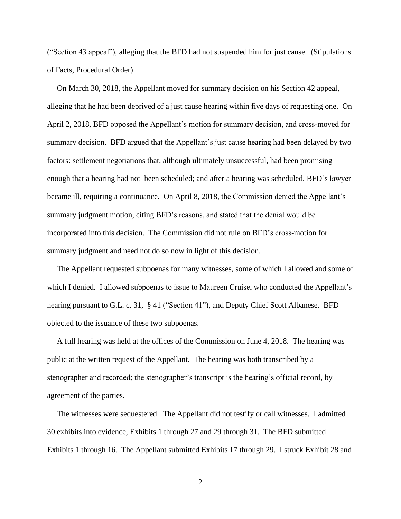("Section 43 appeal"), alleging that the BFD had not suspended him for just cause. (Stipulations of Facts, Procedural Order)

 On March 30, 2018, the Appellant moved for summary decision on his Section 42 appeal, alleging that he had been deprived of a just cause hearing within five days of requesting one. On April 2, 2018, BFD opposed the Appellant's motion for summary decision, and cross-moved for summary decision. BFD argued that the Appellant's just cause hearing had been delayed by two factors: settlement negotiations that, although ultimately unsuccessful, had been promising enough that a hearing had not been scheduled; and after a hearing was scheduled, BFD's lawyer became ill, requiring a continuance. On April 8, 2018, the Commission denied the Appellant's summary judgment motion, citing BFD's reasons, and stated that the denial would be incorporated into this decision. The Commission did not rule on BFD's cross-motion for summary judgment and need not do so now in light of this decision.

 The Appellant requested subpoenas for many witnesses, some of which I allowed and some of which I denied. I allowed subpoenas to issue to Maureen Cruise, who conducted the Appellant's hearing pursuant to G.L. c. 31, § 41 ("Section 41"), and Deputy Chief Scott Albanese. BFD objected to the issuance of these two subpoenas.

 A full hearing was held at the offices of the Commission on June 4, 2018. The hearing was public at the written request of the Appellant. The hearing was both transcribed by a stenographer and recorded; the stenographer's transcript is the hearing's official record, by agreement of the parties.

 The witnesses were sequestered. The Appellant did not testify or call witnesses. I admitted 30 exhibits into evidence, Exhibits 1 through 27 and 29 through 31. The BFD submitted Exhibits 1 through 16. The Appellant submitted Exhibits 17 through 29. I struck Exhibit 28 and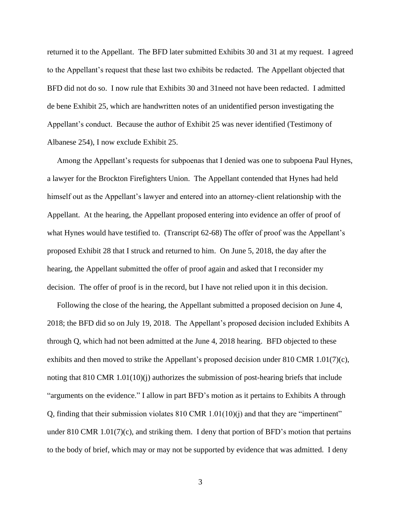returned it to the Appellant. The BFD later submitted Exhibits 30 and 31 at my request. I agreed to the Appellant's request that these last two exhibits be redacted. The Appellant objected that BFD did not do so. I now rule that Exhibits 30 and 31need not have been redacted. I admitted de bene Exhibit 25, which are handwritten notes of an unidentified person investigating the Appellant's conduct. Because the author of Exhibit 25 was never identified (Testimony of Albanese 254), I now exclude Exhibit 25.

 Among the Appellant's requests for subpoenas that I denied was one to subpoena Paul Hynes, a lawyer for the Brockton Firefighters Union. The Appellant contended that Hynes had held himself out as the Appellant's lawyer and entered into an attorney-client relationship with the Appellant. At the hearing, the Appellant proposed entering into evidence an offer of proof of what Hynes would have testified to. (Transcript 62-68) The offer of proof was the Appellant's proposed Exhibit 28 that I struck and returned to him. On June 5, 2018, the day after the hearing, the Appellant submitted the offer of proof again and asked that I reconsider my decision. The offer of proof is in the record, but I have not relied upon it in this decision.

 Following the close of the hearing, the Appellant submitted a proposed decision on June 4, 2018; the BFD did so on July 19, 2018. The Appellant's proposed decision included Exhibits A through Q, which had not been admitted at the June 4, 2018 hearing. BFD objected to these exhibits and then moved to strike the Appellant's proposed decision under 810 CMR 1.01(7)(c), noting that 810 CMR 1.01(10)(j) authorizes the submission of post-hearing briefs that include "arguments on the evidence." I allow in part BFD's motion as it pertains to Exhibits A through Q, finding that their submission violates  $810$  CMR  $1.01(10)(i)$  and that they are "impertinent" under 810 CMR 1.01(7)(c), and striking them. I deny that portion of BFD's motion that pertains to the body of brief, which may or may not be supported by evidence that was admitted. I deny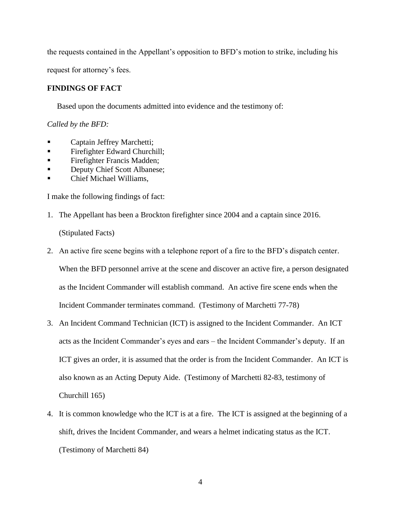the requests contained in the Appellant's opposition to BFD's motion to strike, including his

request for attorney's fees.

# **FINDINGS OF FACT**

Based upon the documents admitted into evidence and the testimony of:

## *Called by the BFD:*

- Captain Jeffrey Marchetti;
- Firefighter Edward Churchill;
- **Exercise Finds** Firefighter Francis Madden;
- **Deputy Chief Scott Albanese;**
- Chief Michael Williams,

I make the following findings of fact:

- 1. The Appellant has been a Brockton firefighter since 2004 and a captain since 2016. (Stipulated Facts)
- 2. An active fire scene begins with a telephone report of a fire to the BFD's dispatch center.

When the BFD personnel arrive at the scene and discover an active fire, a person designated as the Incident Commander will establish command. An active fire scene ends when the Incident Commander terminates command. (Testimony of Marchetti 77-78)

- 3. An Incident Command Technician (ICT) is assigned to the Incident Commander. An ICT acts as the Incident Commander's eyes and ears – the Incident Commander's deputy. If an ICT gives an order, it is assumed that the order is from the Incident Commander. An ICT is also known as an Acting Deputy Aide. (Testimony of Marchetti 82-83, testimony of Churchill 165)
- 4. It is common knowledge who the ICT is at a fire. The ICT is assigned at the beginning of a shift, drives the Incident Commander, and wears a helmet indicating status as the ICT. (Testimony of Marchetti 84)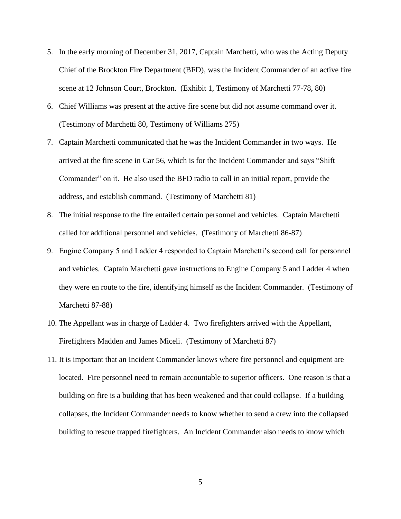- 5. In the early morning of December 31, 2017, Captain Marchetti, who was the Acting Deputy Chief of the Brockton Fire Department (BFD), was the Incident Commander of an active fire scene at 12 Johnson Court, Brockton. (Exhibit 1, Testimony of Marchetti 77-78, 80)
- 6. Chief Williams was present at the active fire scene but did not assume command over it. (Testimony of Marchetti 80, Testimony of Williams 275)
- 7. Captain Marchetti communicated that he was the Incident Commander in two ways. He arrived at the fire scene in Car 56, which is for the Incident Commander and says "Shift Commander" on it. He also used the BFD radio to call in an initial report, provide the address, and establish command. (Testimony of Marchetti 81)
- 8. The initial response to the fire entailed certain personnel and vehicles. Captain Marchetti called for additional personnel and vehicles. (Testimony of Marchetti 86-87)
- 9. Engine Company 5 and Ladder 4 responded to Captain Marchetti's second call for personnel and vehicles. Captain Marchetti gave instructions to Engine Company 5 and Ladder 4 when they were en route to the fire, identifying himself as the Incident Commander. (Testimony of Marchetti 87-88)
- 10. The Appellant was in charge of Ladder 4. Two firefighters arrived with the Appellant, Firefighters Madden and James Miceli. (Testimony of Marchetti 87)
- 11. It is important that an Incident Commander knows where fire personnel and equipment are located. Fire personnel need to remain accountable to superior officers. One reason is that a building on fire is a building that has been weakened and that could collapse. If a building collapses, the Incident Commander needs to know whether to send a crew into the collapsed building to rescue trapped firefighters. An Incident Commander also needs to know which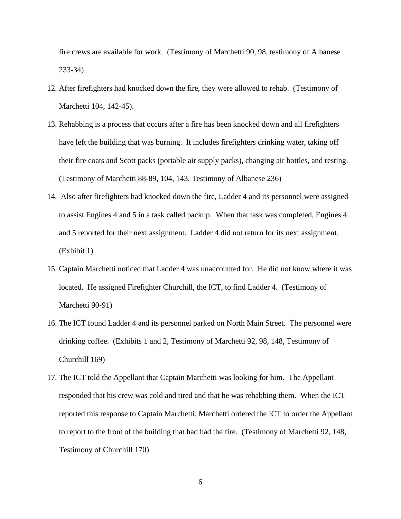fire crews are available for work. (Testimony of Marchetti 90, 98, testimony of Albanese 233-34)

- 12. After firefighters had knocked down the fire, they were allowed to rehab. (Testimony of Marchetti 104, 142-45).
- 13. Rehabbing is a process that occurs after a fire has been knocked down and all firefighters have left the building that was burning. It includes firefighters drinking water, taking off their fire coats and Scott packs (portable air supply packs), changing air bottles, and resting. (Testimony of Marchetti 88-89, 104, 143, Testimony of Albanese 236)
- 14. Also after firefighters had knocked down the fire, Ladder 4 and its personnel were assigned to assist Engines 4 and 5 in a task called packup. When that task was completed, Engines 4 and 5 reported for their next assignment. Ladder 4 did not return for its next assignment. (Exhibit 1)
- 15. Captain Marchetti noticed that Ladder 4 was unaccounted for. He did not know where it was located. He assigned Firefighter Churchill, the ICT, to find Ladder 4. (Testimony of Marchetti 90-91)
- 16. The ICT found Ladder 4 and its personnel parked on North Main Street. The personnel were drinking coffee. (Exhibits 1 and 2, Testimony of Marchetti 92, 98, 148, Testimony of Churchill 169)
- 17. The ICT told the Appellant that Captain Marchetti was looking for him. The Appellant responded that his crew was cold and tired and that he was rehabbing them. When the ICT reported this response to Captain Marchetti, Marchetti ordered the ICT to order the Appellant to report to the front of the building that had had the fire. (Testimony of Marchetti 92, 148, Testimony of Churchill 170)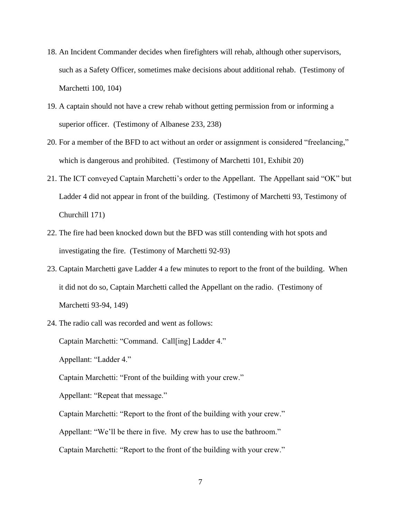- 18. An Incident Commander decides when firefighters will rehab, although other supervisors, such as a Safety Officer, sometimes make decisions about additional rehab. (Testimony of Marchetti 100, 104)
- 19. A captain should not have a crew rehab without getting permission from or informing a superior officer. (Testimony of Albanese 233, 238)
- 20. For a member of the BFD to act without an order or assignment is considered "freelancing," which is dangerous and prohibited. (Testimony of Marchetti 101, Exhibit 20)
- 21. The ICT conveyed Captain Marchetti's order to the Appellant. The Appellant said "OK" but Ladder 4 did not appear in front of the building. (Testimony of Marchetti 93, Testimony of Churchill 171)
- 22. The fire had been knocked down but the BFD was still contending with hot spots and investigating the fire. (Testimony of Marchetti 92-93)
- 23. Captain Marchetti gave Ladder 4 a few minutes to report to the front of the building. When it did not do so, Captain Marchetti called the Appellant on the radio. (Testimony of Marchetti 93-94, 149)
- 24. The radio call was recorded and went as follows:

Captain Marchetti: "Command. Call[ing] Ladder 4."

Appellant: "Ladder 4."

Captain Marchetti: "Front of the building with your crew."

Appellant: "Repeat that message."

Captain Marchetti: "Report to the front of the building with your crew."

Appellant: "We'll be there in five. My crew has to use the bathroom."

Captain Marchetti: "Report to the front of the building with your crew."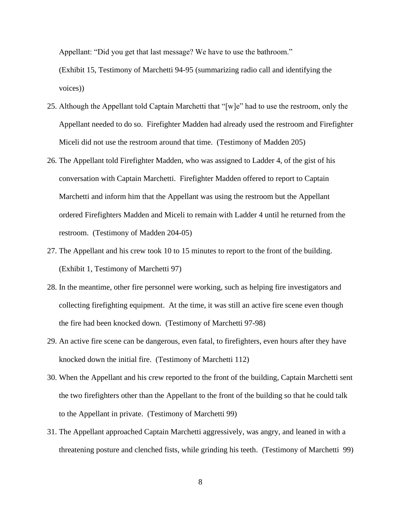Appellant: "Did you get that last message? We have to use the bathroom."

(Exhibit 15, Testimony of Marchetti 94-95 (summarizing radio call and identifying the voices))

- 25. Although the Appellant told Captain Marchetti that "[w]e" had to use the restroom, only the Appellant needed to do so. Firefighter Madden had already used the restroom and Firefighter Miceli did not use the restroom around that time. (Testimony of Madden 205)
- 26. The Appellant told Firefighter Madden, who was assigned to Ladder 4, of the gist of his conversation with Captain Marchetti. Firefighter Madden offered to report to Captain Marchetti and inform him that the Appellant was using the restroom but the Appellant ordered Firefighters Madden and Miceli to remain with Ladder 4 until he returned from the restroom. (Testimony of Madden 204-05)
- 27. The Appellant and his crew took 10 to 15 minutes to report to the front of the building. (Exhibit 1, Testimony of Marchetti 97)
- 28. In the meantime, other fire personnel were working, such as helping fire investigators and collecting firefighting equipment. At the time, it was still an active fire scene even though the fire had been knocked down. (Testimony of Marchetti 97-98)
- 29. An active fire scene can be dangerous, even fatal, to firefighters, even hours after they have knocked down the initial fire. (Testimony of Marchetti 112)
- 30. When the Appellant and his crew reported to the front of the building, Captain Marchetti sent the two firefighters other than the Appellant to the front of the building so that he could talk to the Appellant in private. (Testimony of Marchetti 99)
- 31. The Appellant approached Captain Marchetti aggressively, was angry, and leaned in with a threatening posture and clenched fists, while grinding his teeth. (Testimony of Marchetti 99)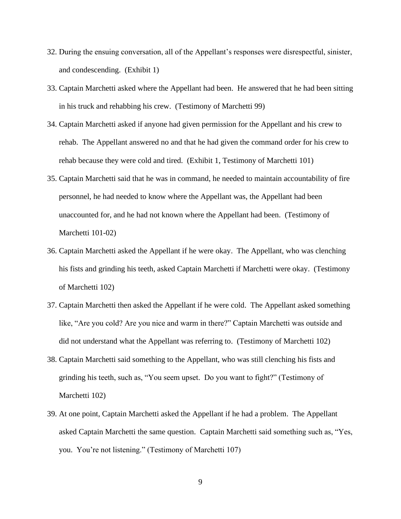- 32. During the ensuing conversation, all of the Appellant's responses were disrespectful, sinister, and condescending. (Exhibit 1)
- 33. Captain Marchetti asked where the Appellant had been. He answered that he had been sitting in his truck and rehabbing his crew. (Testimony of Marchetti 99)
- 34. Captain Marchetti asked if anyone had given permission for the Appellant and his crew to rehab. The Appellant answered no and that he had given the command order for his crew to rehab because they were cold and tired. (Exhibit 1, Testimony of Marchetti 101)
- 35. Captain Marchetti said that he was in command, he needed to maintain accountability of fire personnel, he had needed to know where the Appellant was, the Appellant had been unaccounted for, and he had not known where the Appellant had been. (Testimony of Marchetti 101-02)
- 36. Captain Marchetti asked the Appellant if he were okay. The Appellant, who was clenching his fists and grinding his teeth, asked Captain Marchetti if Marchetti were okay. (Testimony of Marchetti 102)
- 37. Captain Marchetti then asked the Appellant if he were cold. The Appellant asked something like, "Are you cold? Are you nice and warm in there?" Captain Marchetti was outside and did not understand what the Appellant was referring to. (Testimony of Marchetti 102)
- 38. Captain Marchetti said something to the Appellant, who was still clenching his fists and grinding his teeth, such as, "You seem upset. Do you want to fight?" (Testimony of Marchetti 102)
- 39. At one point, Captain Marchetti asked the Appellant if he had a problem. The Appellant asked Captain Marchetti the same question. Captain Marchetti said something such as, "Yes, you. You're not listening." (Testimony of Marchetti 107)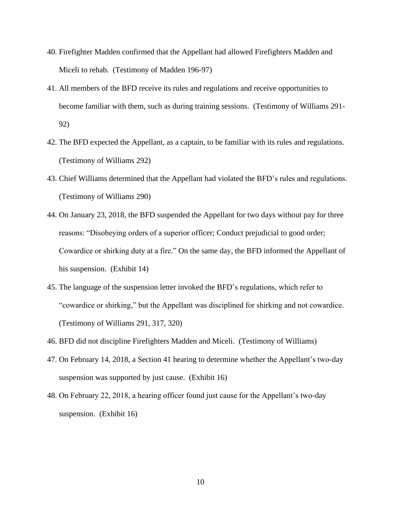- 40. Firefighter Madden confirmed that the Appellant had allowed Firefighters Madden and Miceli to rehab. (Testimony of Madden 196-97)
- 41. All members of the BFD receive its rules and regulations and receive opportunities to become familiar with them, such as during training sessions. (Testimony of Williams 291- 92)
- 42. The BFD expected the Appellant, as a captain, to be familiar with its rules and regulations. (Testimony of Williams 292)
- 43. Chief Williams determined that the Appellant had violated the BFD's rules and regulations. (Testimony of Williams 290)
- 44. On January 23, 2018, the BFD suspended the Appellant for two days without pay for three reasons: "Disobeying orders of a superior officer; Conduct prejudicial to good order; Cowardice or shirking duty at a fire." On the same day, the BFD informed the Appellant of his suspension. (Exhibit 14)
- 45. The language of the suspension letter invoked the BFD's regulations, which refer to "cowardice or shirking," but the Appellant was disciplined for shirking and not cowardice. (Testimony of Williams 291, 317, 320)
- 46. BFD did not discipline Firefighters Madden and Miceli. (Testimony of Williams)
- 47. On February 14, 2018, a Section 41 hearing to determine whether the Appellant's two-day suspension was supported by just cause. (Exhibit 16)
- 48. On February 22, 2018, a hearing officer found just cause for the Appellant's two-day suspension. (Exhibit 16)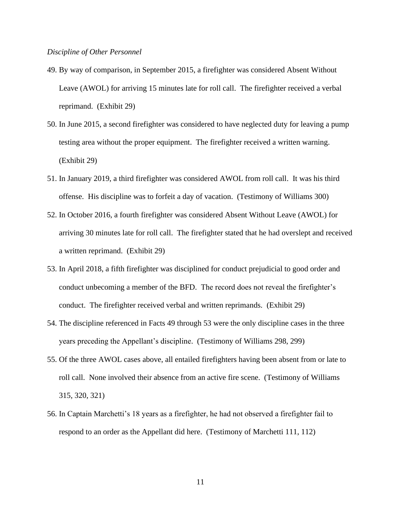#### *Discipline of Other Personnel*

- 49. By way of comparison, in September 2015, a firefighter was considered Absent Without Leave (AWOL) for arriving 15 minutes late for roll call. The firefighter received a verbal reprimand. (Exhibit 29)
- 50. In June 2015, a second firefighter was considered to have neglected duty for leaving a pump testing area without the proper equipment. The firefighter received a written warning. (Exhibit 29)
- 51. In January 2019, a third firefighter was considered AWOL from roll call. It was his third offense. His discipline was to forfeit a day of vacation. (Testimony of Williams 300)
- 52. In October 2016, a fourth firefighter was considered Absent Without Leave (AWOL) for arriving 30 minutes late for roll call. The firefighter stated that he had overslept and received a written reprimand. (Exhibit 29)
- 53. In April 2018, a fifth firefighter was disciplined for conduct prejudicial to good order and conduct unbecoming a member of the BFD. The record does not reveal the firefighter's conduct. The firefighter received verbal and written reprimands. (Exhibit 29)
- 54. The discipline referenced in Facts 49 through 53 were the only discipline cases in the three years preceding the Appellant's discipline. (Testimony of Williams 298, 299)
- 55. Of the three AWOL cases above, all entailed firefighters having been absent from or late to roll call. None involved their absence from an active fire scene. (Testimony of Williams 315, 320, 321)
- 56. In Captain Marchetti's 18 years as a firefighter, he had not observed a firefighter fail to respond to an order as the Appellant did here. (Testimony of Marchetti 111, 112)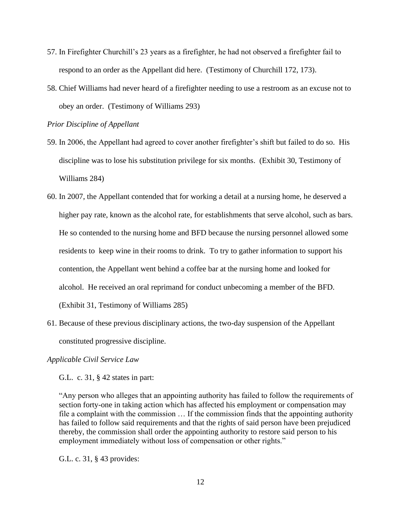- 57. In Firefighter Churchill's 23 years as a firefighter, he had not observed a firefighter fail to respond to an order as the Appellant did here. (Testimony of Churchill 172, 173).
- 58. Chief Williams had never heard of a firefighter needing to use a restroom as an excuse not to obey an order. (Testimony of Williams 293)

*Prior Discipline of Appellant*

- 59. In 2006, the Appellant had agreed to cover another firefighter's shift but failed to do so. His discipline was to lose his substitution privilege for six months. (Exhibit 30, Testimony of Williams 284)
- 60. In 2007, the Appellant contended that for working a detail at a nursing home, he deserved a higher pay rate, known as the alcohol rate, for establishments that serve alcohol, such as bars. He so contended to the nursing home and BFD because the nursing personnel allowed some residents to keep wine in their rooms to drink. To try to gather information to support his contention, the Appellant went behind a coffee bar at the nursing home and looked for alcohol. He received an oral reprimand for conduct unbecoming a member of the BFD. (Exhibit 31, Testimony of Williams 285)
- 61. Because of these previous disciplinary actions, the two-day suspension of the Appellant constituted progressive discipline.

#### *Applicable Civil Service Law*

G.L. c. 31, § 42 states in part:

"Any person who alleges that an appointing authority has failed to follow the requirements of section forty-one in taking action which has affected his employment or compensation may file a complaint with the commission … If the commission finds that the appointing authority has failed to follow said requirements and that the rights of said person have been prejudiced thereby, the commission shall order the appointing authority to restore said person to his employment immediately without loss of compensation or other rights."

G.L. c. 31, § 43 provides: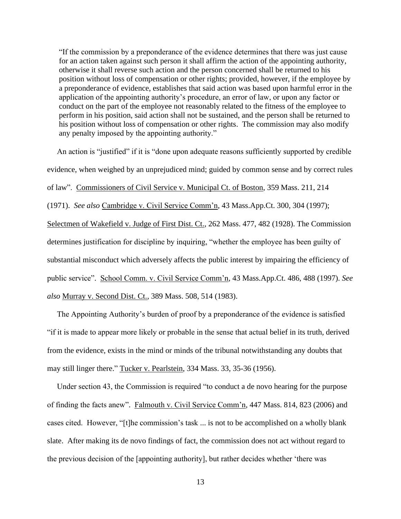"If the commission by a preponderance of the evidence determines that there was just cause for an action taken against such person it shall affirm the action of the appointing authority, otherwise it shall reverse such action and the person concerned shall be returned to his position without loss of compensation or other rights; provided, however, if the employee by a preponderance of evidence, establishes that said action was based upon harmful error in the application of the appointing authority's procedure, an error of law, or upon any factor or conduct on the part of the employee not reasonably related to the fitness of the employee to perform in his position, said action shall not be sustained, and the person shall be returned to his position without loss of compensation or other rights. The commission may also modify any penalty imposed by the appointing authority."

 An action is "justified" if it is "done upon adequate reasons sufficiently supported by credible evidence, when weighed by an unprejudiced mind; guided by common sense and by correct rules of law". Commissioners of Civil Service v. Municipal Ct. of Boston, 359 Mass. 211, 214 (1971). *See also* Cambridge v. Civil Service Comm'n, 43 Mass.App.Ct. 300, 304 (1997); Selectmen of Wakefield v. Judge of First Dist. Ct., 262 Mass. 477, 482 (1928). The Commission determines justification for discipline by inquiring, "whether the employee has been guilty of substantial misconduct which adversely affects the public interest by impairing the efficiency of public service". School Comm. v. Civil Service Comm'n, 43 Mass.App.Ct. 486, 488 (1997). *See also* Murray v. Second Dist. Ct., 389 Mass. 508, 514 (1983).

 The Appointing Authority's burden of proof by a preponderance of the evidence is satisfied "if it is made to appear more likely or probable in the sense that actual belief in its truth, derived from the evidence, exists in the mind or minds of the tribunal notwithstanding any doubts that may still linger there." Tucker v. Pearlstein, 334 Mass. 33, 35-36 (1956).

 Under section 43, the Commission is required "to conduct a de novo hearing for the purpose of finding the facts anew". Falmouth v. Civil Service Comm'n, 447 Mass. 814, 823 (2006) and cases cited. However, "[t]he commission's task ... is not to be accomplished on a wholly blank slate. After making its de novo findings of fact, the commission does not act without regard to the previous decision of the [appointing authority], but rather decides whether 'there was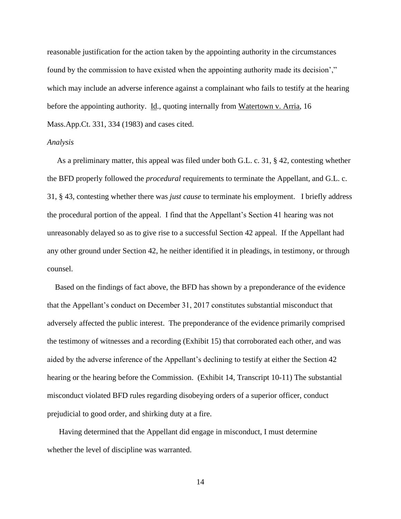reasonable justification for the action taken by the appointing authority in the circumstances found by the commission to have existed when the appointing authority made its decision'," which may include an adverse inference against a complainant who fails to testify at the hearing before the appointing authority. Id., quoting internally from Watertown v. Arria, 16 Mass.App.Ct. 331, 334 (1983) and cases cited.

#### *Analysis*

 As a preliminary matter, this appeal was filed under both G.L. c. 31, § 42, contesting whether the BFD properly followed the *procedural* requirements to terminate the Appellant, and G.L. c. 31, § 43, contesting whether there was *just cause* to terminate his employment. I briefly address the procedural portion of the appeal. I find that the Appellant's Section 41 hearing was not unreasonably delayed so as to give rise to a successful Section 42 appeal. If the Appellant had any other ground under Section 42, he neither identified it in pleadings, in testimony, or through counsel.

 Based on the findings of fact above, the BFD has shown by a preponderance of the evidence that the Appellant's conduct on December 31, 2017 constitutes substantial misconduct that adversely affected the public interest. The preponderance of the evidence primarily comprised the testimony of witnesses and a recording (Exhibit 15) that corroborated each other, and was aided by the adverse inference of the Appellant's declining to testify at either the Section 42 hearing or the hearing before the Commission. (Exhibit 14, Transcript 10-11) The substantial misconduct violated BFD rules regarding disobeying orders of a superior officer, conduct prejudicial to good order, and shirking duty at a fire.

Having determined that the Appellant did engage in misconduct, I must determine whether the level of discipline was warranted.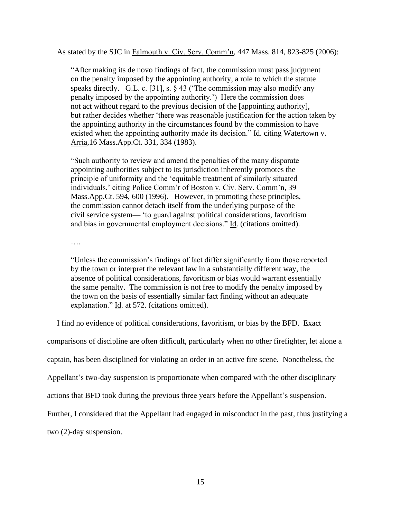As stated by the SJC in Falmouth v. Civ. Serv. Comm'n, 447 Mass. 814, 823-825 (2006):

 "After making its de novo findings of fact, the commission must pass judgment on the penalty imposed by the appointing authority, a role to which the statute speaks directly. G.L. c. [31], s.  $\S$  43 ('The commission may also modify any penalty imposed by the appointing authority.') Here the commission does not act without regard to the previous decision of the [appointing authority], but rather decides whether 'there was reasonable justification for the action taken by the appointing authority in the circumstances found by the commission to have existed when the appointing authority made its decision." Id. citing Watertown v. Arria,16 Mass.App.Ct. 331, 334 (1983).

"Such authority to review and amend the penalties of the many disparate appointing authorities subject to its jurisdiction inherently promotes the principle of uniformity and the 'equitable treatment of similarly situated individuals.' citing Police Comm'r of Boston v. Civ. Serv. Comm'n, 39 Mass.App.Ct. 594, 600 (1996). However, in promoting these principles, the commission cannot detach itself from the underlying purpose of the civil service system— 'to guard against political considerations, favoritism and bias in governmental employment decisions." Id. (citations omitted).

….

"Unless the commission's findings of fact differ significantly from those reported by the town or interpret the relevant law in a substantially different way, the absence of political considerations, favoritism or bias would warrant essentially the same penalty. The commission is not free to modify the penalty imposed by the town on the basis of essentially similar fact finding without an adequate explanation." Id. at 572. (citations omitted).

I find no evidence of political considerations, favoritism, or bias by the BFD. Exact

comparisons of discipline are often difficult, particularly when no other firefighter, let alone a

captain, has been disciplined for violating an order in an active fire scene. Nonetheless, the

Appellant's two-day suspension is proportionate when compared with the other disciplinary

actions that BFD took during the previous three years before the Appellant's suspension.

Further, I considered that the Appellant had engaged in misconduct in the past, thus justifying a

two (2)-day suspension.